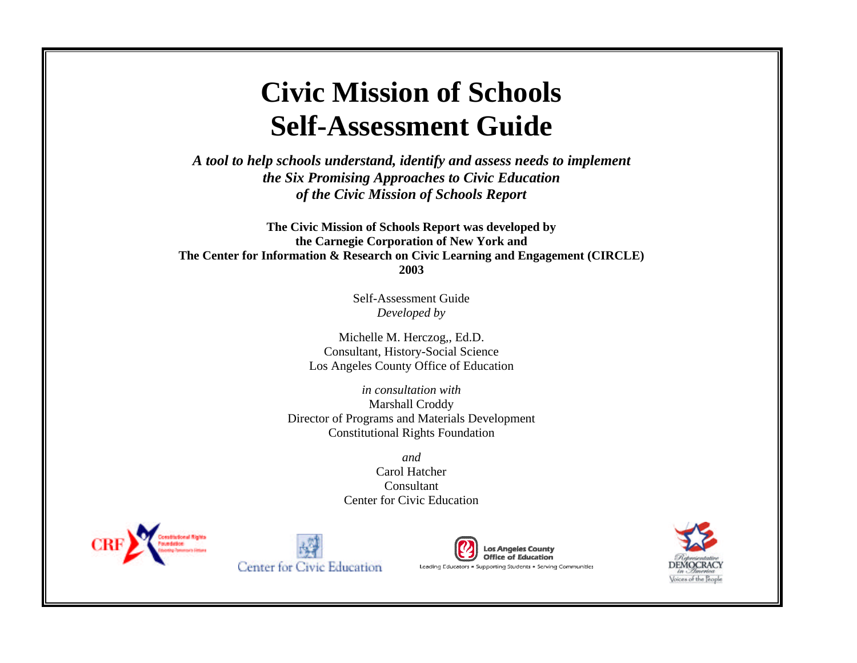# **Civic Mission of Schools Self-Assessment Guide**

*A tool to help schools understand, identify and assess needs to implement the Six Promising Approaches to Civic Education of the Civic Mission of Schools Report*

**The Civic Mission of Schools Report was developed by the Carnegie Corporation of New York and The Center for Information & Research on Civic Learning and Engagement (CIRCLE) 2003**

> Self-Assessment Guide *Developed by*

Michelle M. Herczog,, Ed.D. Consultant, History-Social Science Los Angeles County Office of Education

*in consultation with* Marshall Croddy Director of Programs and Materials Development Constitutional Rights Foundation

> *and* Carol Hatcher Consultant Center for Civic Education







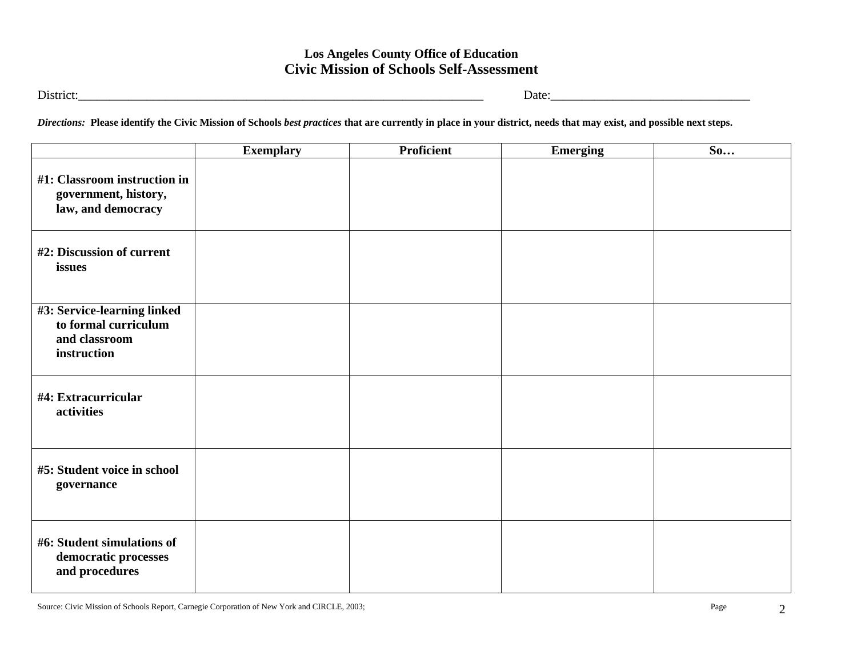District:\_\_\_\_\_\_\_\_\_\_\_\_\_\_\_\_\_\_\_\_\_\_\_\_\_\_\_\_\_\_\_\_\_\_\_\_\_\_\_\_\_\_\_\_\_\_\_\_\_\_\_\_\_\_\_\_\_\_\_\_\_\_\_\_\_ Date:\_\_\_\_\_\_\_\_\_\_\_\_\_\_\_\_\_\_\_\_\_\_\_\_\_\_\_\_\_\_\_\_

*Directions:* **Please identify the Civic Mission of Schools** *best practices* **that are currently in place in your district, needs that may exist, and possible next steps.**

|                                                                                     | <b>Exemplary</b> | <b>Proficient</b> | <b>Emerging</b> | So |
|-------------------------------------------------------------------------------------|------------------|-------------------|-----------------|----|
| #1: Classroom instruction in<br>government, history,<br>law, and democracy          |                  |                   |                 |    |
| #2: Discussion of current<br>issues                                                 |                  |                   |                 |    |
| #3: Service-learning linked<br>to formal curriculum<br>and classroom<br>instruction |                  |                   |                 |    |
| #4: Extracurricular<br>activities                                                   |                  |                   |                 |    |
| #5: Student voice in school<br>governance                                           |                  |                   |                 |    |
| #6: Student simulations of<br>democratic processes<br>and procedures                |                  |                   |                 |    |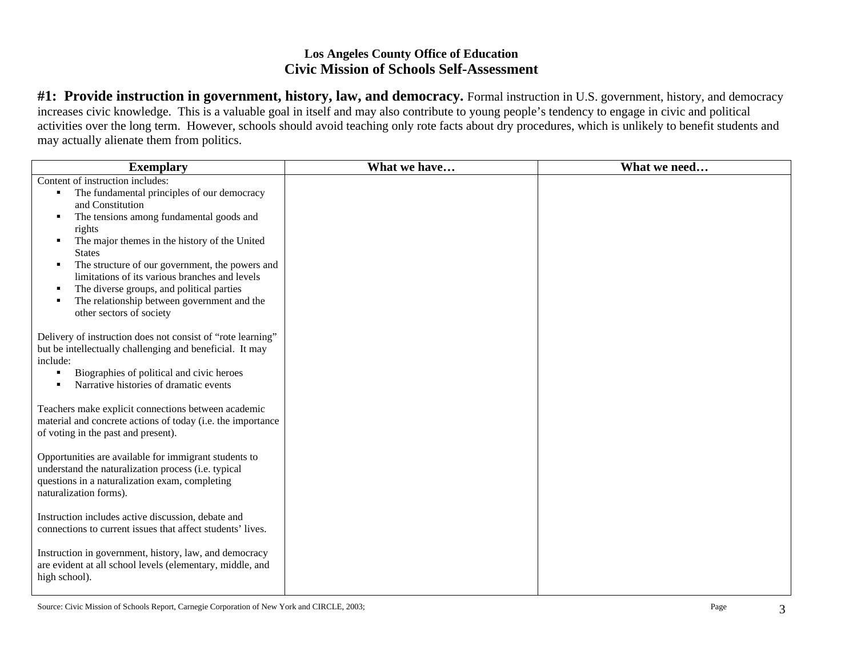#1: Provide instruction in government, history, law, and democracy. Formal instruction in U.S. government, history, and democracy increases civic knowledge. This is a valuable goal in itself and may also contribute to young people's tendency to engage in civic and political activities over the long term. However, schools should avoid teaching only rote facts about dry procedures, which is unlikely to benefit students and may actually alienate them from politics.

| <b>Exemplary</b>                                                                                                                                                                                                                                                                                                                                                                                                                                                                                    | What we have | What we need |
|-----------------------------------------------------------------------------------------------------------------------------------------------------------------------------------------------------------------------------------------------------------------------------------------------------------------------------------------------------------------------------------------------------------------------------------------------------------------------------------------------------|--------------|--------------|
| Content of instruction includes:<br>The fundamental principles of our democracy<br>$\blacksquare$<br>and Constitution<br>The tensions among fundamental goods and<br>٠<br>rights<br>The major themes in the history of the United<br>٠<br><b>States</b><br>The structure of our government, the powers and<br>٠<br>limitations of its various branches and levels<br>The diverse groups, and political parties<br>٠<br>The relationship between government and the<br>٠<br>other sectors of society |              |              |
| Delivery of instruction does not consist of "rote learning"<br>but be intellectually challenging and beneficial. It may<br>include:<br>Biographies of political and civic heroes<br>٠<br>Narrative histories of dramatic events                                                                                                                                                                                                                                                                     |              |              |
| Teachers make explicit connections between academic<br>material and concrete actions of today (i.e. the importance<br>of voting in the past and present).                                                                                                                                                                                                                                                                                                                                           |              |              |
| Opportunities are available for immigrant students to<br>understand the naturalization process (i.e. typical<br>questions in a naturalization exam, completing<br>naturalization forms).                                                                                                                                                                                                                                                                                                            |              |              |
| Instruction includes active discussion, debate and<br>connections to current issues that affect students' lives.                                                                                                                                                                                                                                                                                                                                                                                    |              |              |
| Instruction in government, history, law, and democracy<br>are evident at all school levels (elementary, middle, and<br>high school).                                                                                                                                                                                                                                                                                                                                                                |              |              |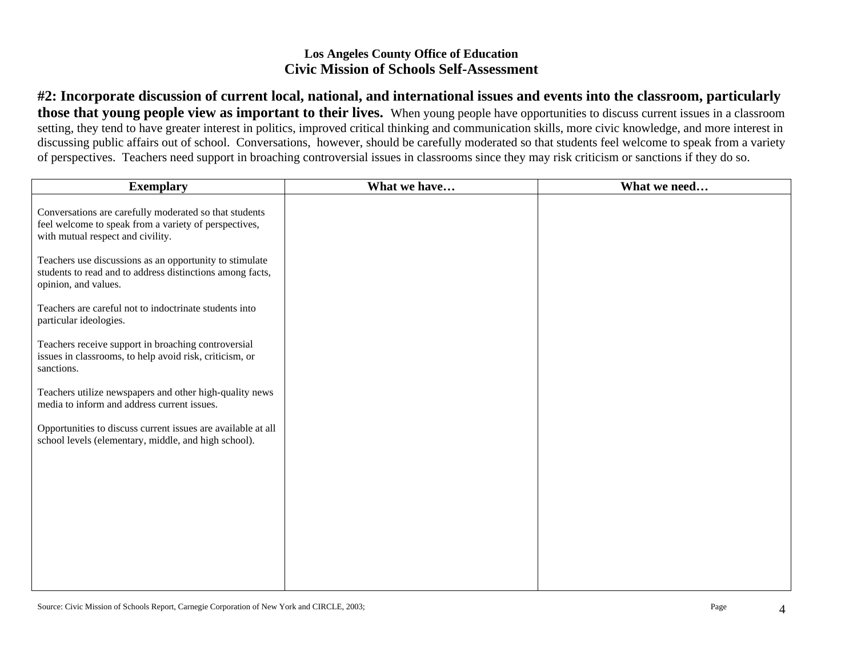**#2: Incorporate discussion of current local, national, and international issues and events into the classroom, particularly those that young people view as important to their lives.** When young people have opportunities to discuss current issues in a classroom setting, they tend to have greater interest in politics, improved critical thinking and communication skills, more civic knowledge, and more interest in discussing public affairs out of school. Conversations, however, should be carefully moderated so that students feel welcome to speak from a variety of perspectives. Teachers need support in broaching controversial issues in classrooms since they may risk criticism or sanctions if they do so.

| <b>Exemplary</b>                                                                                                                                     | What we have | What we need |
|------------------------------------------------------------------------------------------------------------------------------------------------------|--------------|--------------|
| Conversations are carefully moderated so that students<br>feel welcome to speak from a variety of perspectives,<br>with mutual respect and civility. |              |              |
| Teachers use discussions as an opportunity to stimulate<br>students to read and to address distinctions among facts,<br>opinion, and values.         |              |              |
| Teachers are careful not to indoctrinate students into<br>particular ideologies.                                                                     |              |              |
| Teachers receive support in broaching controversial<br>issues in classrooms, to help avoid risk, criticism, or<br>sanctions.                         |              |              |
| Teachers utilize newspapers and other high-quality news<br>media to inform and address current issues.                                               |              |              |
| Opportunities to discuss current issues are available at all<br>school levels (elementary, middle, and high school).                                 |              |              |
|                                                                                                                                                      |              |              |
|                                                                                                                                                      |              |              |
|                                                                                                                                                      |              |              |
|                                                                                                                                                      |              |              |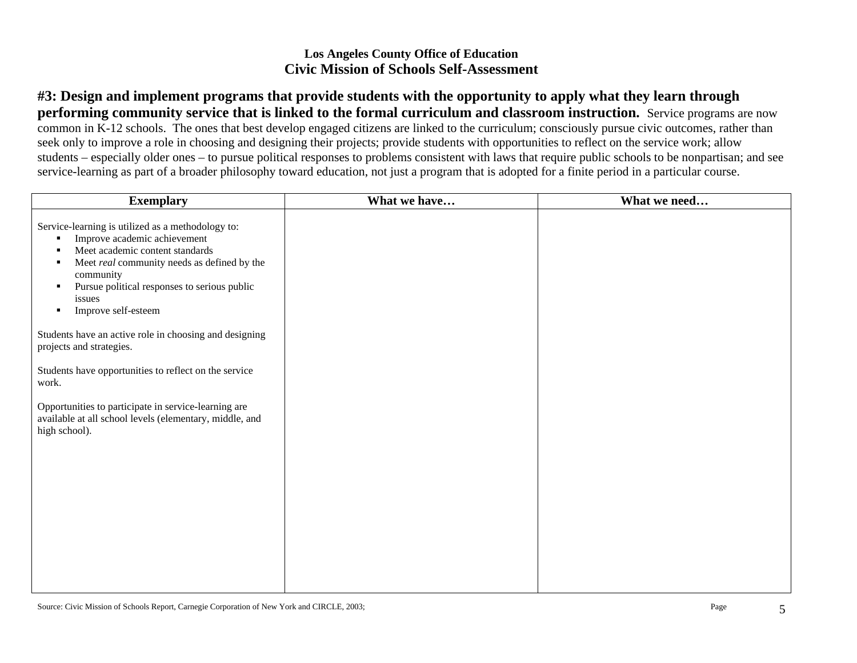**#3: Design and implement programs that provide students with the opportunity to apply what they learn through performing community service that is linked to the formal curriculum and classroom instruction.** Service programs are now common in K-12 schools. The ones that best develop engaged citizens are linked to the curriculum; consciously pursue civic outcomes, rather than seek only to improve a role in choosing and designing their projects; provide students with opportunities to reflect on the service work; allow students – especially older ones – to pursue political responses to problems consistent with laws that require public schools to be nonpartisan; and see service-learning as part of a broader philosophy toward education, not just a program that is adopted for a finite period in a particular course.

| <b>Exemplary</b>                                                                                                                                                                                                                                                                                                     | What we have | What we need |
|----------------------------------------------------------------------------------------------------------------------------------------------------------------------------------------------------------------------------------------------------------------------------------------------------------------------|--------------|--------------|
| Service-learning is utilized as a methodology to:<br>Improve academic achievement<br>٠<br>Meet academic content standards<br>$\blacksquare$<br>Meet real community needs as defined by the<br>٠<br>community<br>Pursue political responses to serious public<br>٠<br>issues<br>Improve self-esteem<br>$\blacksquare$ |              |              |
| Students have an active role in choosing and designing<br>projects and strategies.                                                                                                                                                                                                                                   |              |              |
| Students have opportunities to reflect on the service<br>work.                                                                                                                                                                                                                                                       |              |              |
| Opportunities to participate in service-learning are<br>available at all school levels (elementary, middle, and<br>high school).                                                                                                                                                                                     |              |              |
|                                                                                                                                                                                                                                                                                                                      |              |              |
|                                                                                                                                                                                                                                                                                                                      |              |              |
|                                                                                                                                                                                                                                                                                                                      |              |              |
|                                                                                                                                                                                                                                                                                                                      |              |              |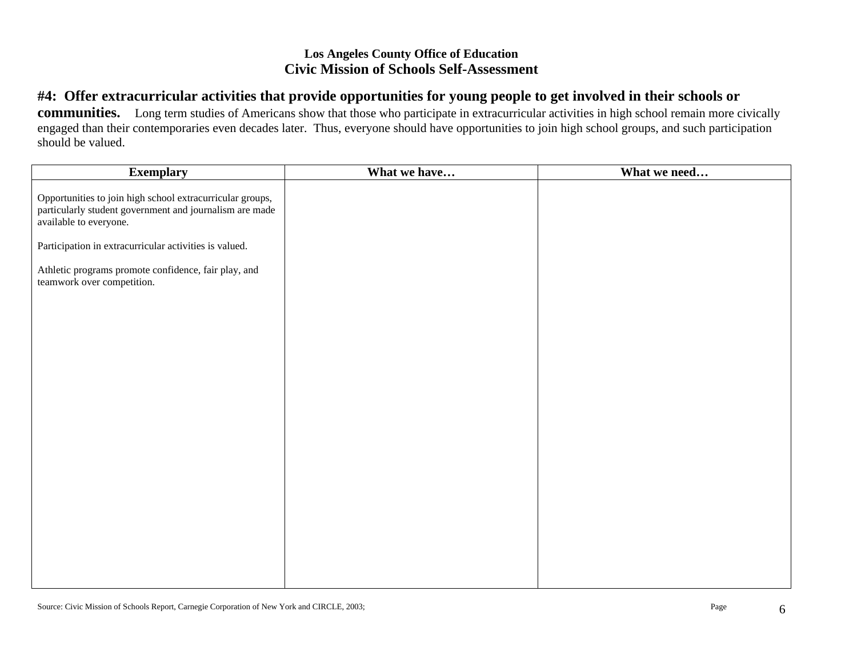# **#4: Offer extracurricular activities that provide opportunities for young people to get involved in their schools or**

**communities.** Long term studies of Americans show that those who participate in extracurricular activities in high school remain more civically engaged than their contemporaries even decades later. Thus, everyone should have opportunities to join high school groups, and such participation should be valued.

| <b>Exemplary</b>                                                                                                                               | What we have | What we need |
|------------------------------------------------------------------------------------------------------------------------------------------------|--------------|--------------|
| Opportunities to join high school extracurricular groups,<br>particularly student government and journalism are made<br>available to everyone. |              |              |
| Participation in extracurricular activities is valued.                                                                                         |              |              |
| Athletic programs promote confidence, fair play, and<br>teamwork over competition.                                                             |              |              |
|                                                                                                                                                |              |              |
|                                                                                                                                                |              |              |
|                                                                                                                                                |              |              |
|                                                                                                                                                |              |              |
|                                                                                                                                                |              |              |
|                                                                                                                                                |              |              |
|                                                                                                                                                |              |              |
|                                                                                                                                                |              |              |
|                                                                                                                                                |              |              |
|                                                                                                                                                |              |              |
|                                                                                                                                                |              |              |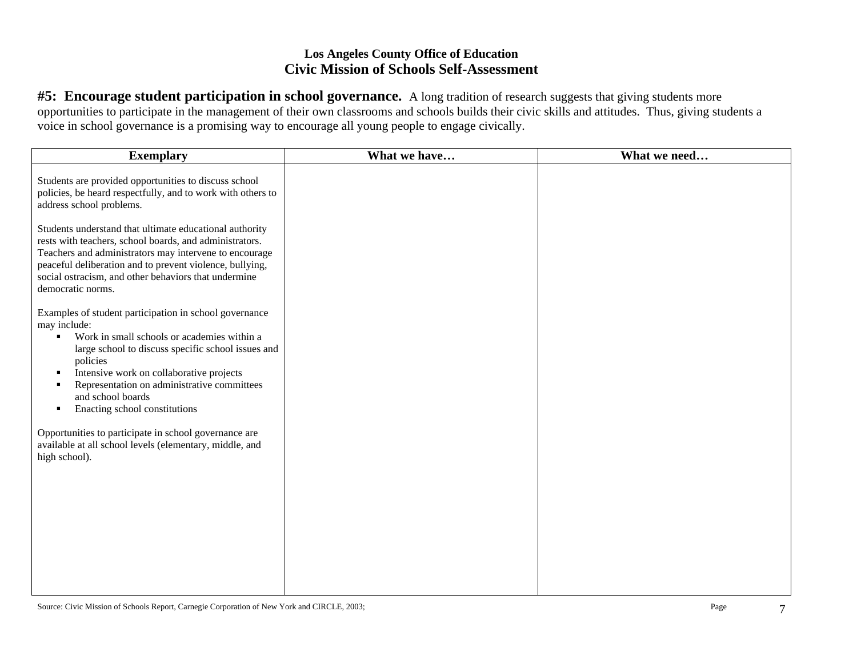**#5: Encourage student participation in school governance.** A long tradition of research suggests that giving students more opportunities to participate in the management of their own classrooms and schools builds their civic skills and attitudes. Thus, giving students a voice in school governance is a promising way to encourage all young people to engage civically.

| <b>Exemplary</b>                                                                                                                                                                                                                                                                                                                                                                                    | What we have | What we need |
|-----------------------------------------------------------------------------------------------------------------------------------------------------------------------------------------------------------------------------------------------------------------------------------------------------------------------------------------------------------------------------------------------------|--------------|--------------|
| Students are provided opportunities to discuss school<br>policies, be heard respectfully, and to work with others to<br>address school problems.                                                                                                                                                                                                                                                    |              |              |
| Students understand that ultimate educational authority<br>rests with teachers, school boards, and administrators.<br>Teachers and administrators may intervene to encourage<br>peaceful deliberation and to prevent violence, bullying,<br>social ostracism, and other behaviors that undermine<br>democratic norms.                                                                               |              |              |
| Examples of student participation in school governance<br>may include:<br>Work in small schools or academies within a<br>$\blacksquare$<br>large school to discuss specific school issues and<br>policies<br>Intensive work on collaborative projects<br>$\blacksquare$<br>Representation on administrative committees<br>$\blacksquare$<br>and school boards<br>Enacting school constitutions<br>٠ |              |              |
| Opportunities to participate in school governance are<br>available at all school levels (elementary, middle, and<br>high school).                                                                                                                                                                                                                                                                   |              |              |
|                                                                                                                                                                                                                                                                                                                                                                                                     |              |              |